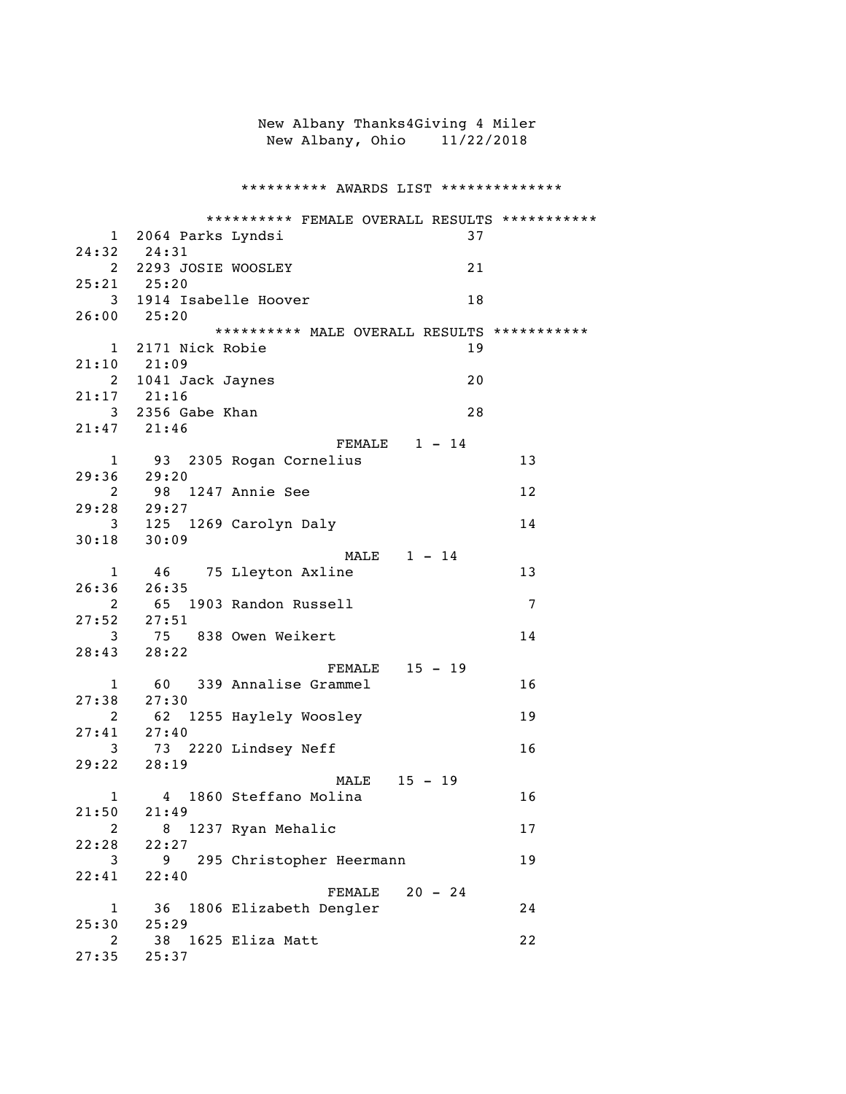|                |                        |                           | New Albany Thanks4Giving 4 Miler              |    |
|----------------|------------------------|---------------------------|-----------------------------------------------|----|
|                |                        |                           | New Albany, Ohio 11/22/2018                   |    |
|                |                        |                           |                                               |    |
|                |                        |                           |                                               |    |
|                |                        |                           | ********** AWARDS LIST **************         |    |
|                |                        |                           | ********** FEMALE OVERALL RESULTS *********** |    |
|                | 1 2064 Parks Lyndsi    |                           | 37                                            |    |
|                | 24:32 24:31            |                           |                                               |    |
|                | 2 2293 JOSIE WOOSLEY   |                           | 21                                            |    |
|                | $25:21$ $25:20$        |                           |                                               |    |
|                | 3 1914 Isabelle Hoover |                           | 18                                            |    |
|                | $26:00$ $25:20$        |                           | ********** MALE OVERALL RESULTS ***********   |    |
|                | 1 2171 Nick Robie      |                           | 19                                            |    |
|                | 21:10 21:09            |                           |                                               |    |
|                | 2 1041 Jack Jaynes     |                           | 20                                            |    |
|                | $21:17$ $21:16$        |                           |                                               |    |
|                | 3 2356 Gabe Khan       |                           | 28                                            |    |
|                | 21:47 21:46            |                           |                                               |    |
|                |                        |                           | FEMALE $1 - 14$                               |    |
|                | 29:36 29:20            | 1 93 2305 Rogan Cornelius |                                               | 13 |
|                | 2 98                   | 1247 Annie See            |                                               | 12 |
|                | 29:28 29:27            |                           |                                               |    |
|                |                        | 3 125 1269 Carolyn Daly   |                                               | 14 |
|                | $30:18$ $30:09$        |                           |                                               |    |
|                |                        |                           | MALE $1 - 14$                                 |    |
| $1 \quad$      |                        | 46 75 Lleyton Axline      |                                               | 13 |
| 26:36          | 26:35                  |                           |                                               |    |
| 2              | $27:52$ $27:51$        | 65 1903 Randon Russell    |                                               | 7  |
| 3              |                        | 75 838 Owen Weikert       |                                               | 14 |
|                | 28:43 28:22            |                           |                                               |    |
|                |                        |                           | FEMALE 15 - 19                                |    |
|                |                        | 1 60 339 Annalise Grammel |                                               | 16 |
|                | $27:38$ $27:30$        |                           |                                               |    |
| 2              | 62                     | 1255 Haylely Woosley      |                                               | 19 |
| 27:41          | 27:40                  |                           |                                               |    |
| 3              |                        | 73 2220 Lindsey Neff      |                                               | 16 |
| 29:22          | 28:19                  |                           | MALE 15 - 19                                  |    |
| $\mathbf{1}$   |                        | 4 1860 Steffano Molina    |                                               | 16 |
| 21:50          | 21:49                  |                           |                                               |    |
| $\overline{2}$ | 8                      | 1237 Ryan Mehalic         |                                               | 17 |
| 22:28          | 22:27                  |                           |                                               |    |
| 3              | 9                      | 295 Christopher Heermann  |                                               | 19 |
| 22:41          | 22:40                  |                           |                                               |    |
|                |                        |                           | $20 - 24$<br>FEMALE                           |    |
| 1<br>25:30     | 36                     | 1806 Elizabeth Dengler    |                                               | 24 |
| 2              | 25:29<br>38            | 1625 Eliza Matt           |                                               | 22 |
| 27:35          | 25:37                  |                           |                                               |    |
|                |                        |                           |                                               |    |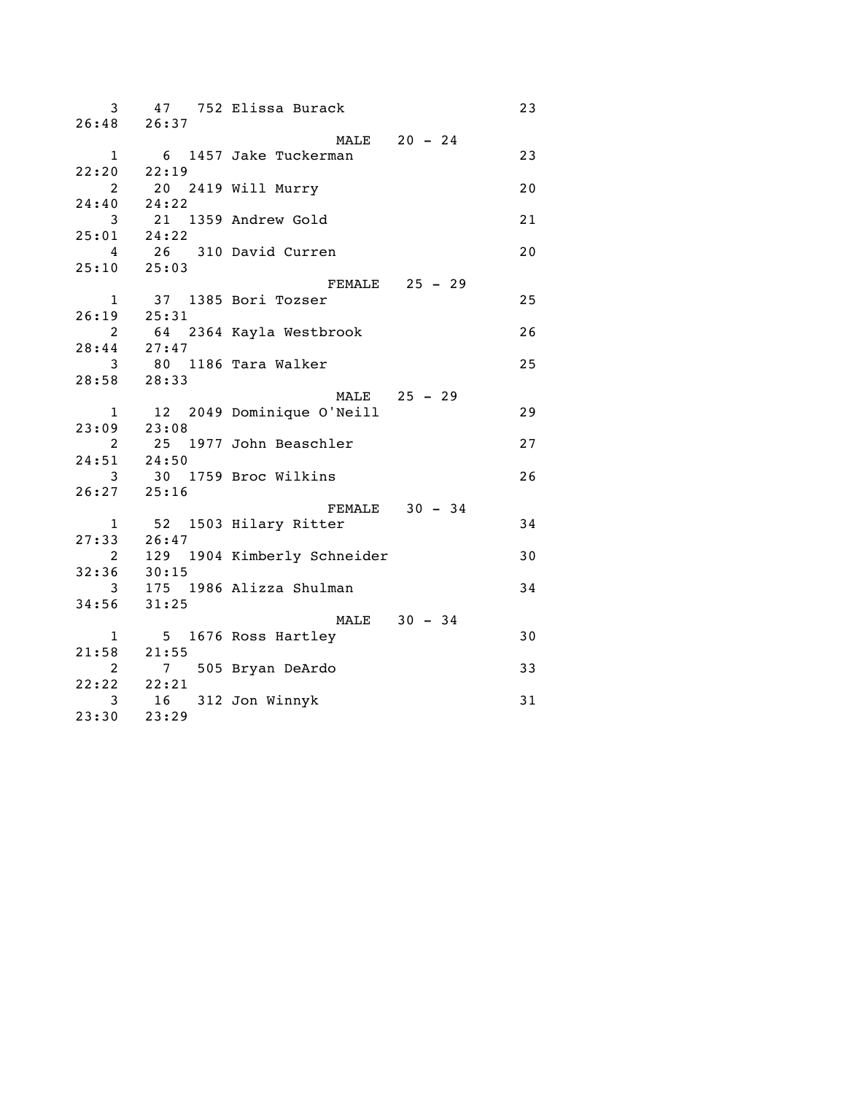| 3 <sup>1</sup> |                                     | 47 752 Elissa Burack                         | 23 |
|----------------|-------------------------------------|----------------------------------------------|----|
|                | $26:48$ 26:37                       |                                              |    |
|                |                                     | MALE 20 - 24                                 |    |
|                | $22:20$ $22:19$                     | 1 6 1457 Jake Tuckerman                      | 23 |
|                |                                     |                                              |    |
|                | 2 20 2419 Will Murry<br>24:40 24:22 |                                              | 20 |
|                |                                     | 3 21 1359 Andrew Gold                        | 21 |
|                | 25:01 24:22                         |                                              |    |
|                |                                     | 4 26 310 David Curren                        | 20 |
|                | $25:10$ $25:03$                     |                                              |    |
|                |                                     | FEMALE 25 - 29                               |    |
|                |                                     | 1 37 1385 Bori Tozser                        | 25 |
|                | $26:19$ $25:31$                     |                                              |    |
|                |                                     | 2 64 2364 Kayla Westbrook<br>28:44 27:47     | 26 |
|                |                                     |                                              |    |
|                |                                     | 3 80 1186 Tara Walker                        | 25 |
|                | $28:58$ $28:33$                     |                                              |    |
|                |                                     | MALE 25 - 29<br>1 12 2049 Dominique O'Neill  |    |
|                | $23:09$ $23:08$                     |                                              | 29 |
|                |                                     | 2 25 1977 John Beaschler                     | 27 |
|                | 24:51 24:50                         |                                              |    |
|                |                                     | 3 30 1759 Broc Wilkins                       | 26 |
|                | $26:27$ $25:16$                     |                                              |    |
|                |                                     | FEMALE $30 - 34$                             |    |
|                |                                     | 1 52 1503 Hilary Ritter                      | 34 |
|                |                                     |                                              |    |
|                |                                     | 27:33 26:47<br>2 129 1904 Kimberly Schneider | 30 |
|                | $32:36$ $30:15$                     |                                              |    |
|                |                                     | 3 175 1986 Alizza Shulman                    | 34 |
|                | $34:56$ $31:25$                     |                                              |    |
|                |                                     | MALE 30 - 34                                 |    |
|                |                                     | 1 5 1676 Ross Hartley                        | 30 |
|                | $21:58$ $21:55$                     |                                              |    |
|                |                                     | 2 7 505 Bryan DeArdo                         | 33 |
|                | 22:22 22:21                         |                                              | 31 |
| 23:30          | 3 16 312 Jon Winnyk<br>0 23:29      |                                              |    |
|                |                                     |                                              |    |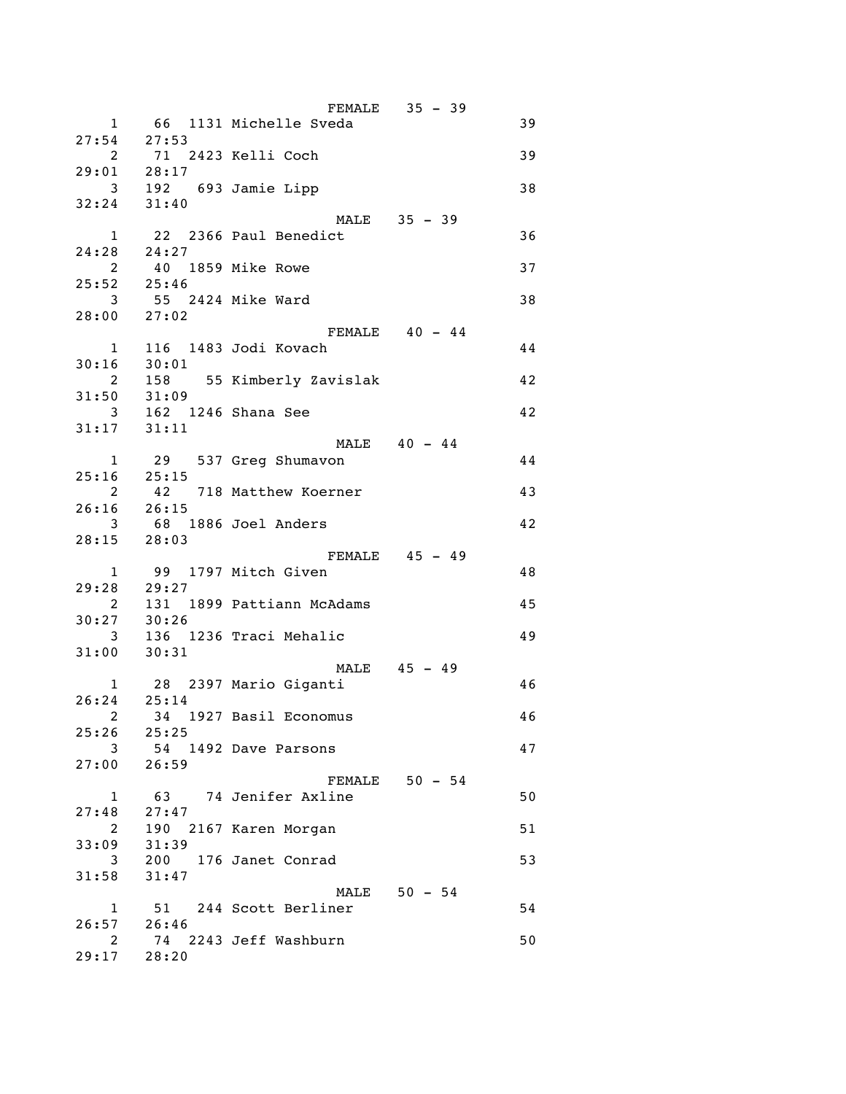|                         |                      |                           | FEMALE 35 - 39   |    |
|-------------------------|----------------------|---------------------------|------------------|----|
| $\mathbf{1}$            |                      | 66 1131 Michelle Sveda    |                  | 39 |
|                         | $27:54$ $27:53$      |                           |                  |    |
| $\overline{\mathbf{2}}$ |                      | 71 2423 Kelli Coch        |                  | 39 |
| $29:01$ $28:17$         |                      |                           |                  |    |
|                         |                      | 3 192 693 Jamie Lipp      |                  | 38 |
| $32:24$ $31:40$         |                      |                           |                  |    |
|                         |                      |                           | MALE 35 - 39     |    |
|                         |                      | 1 22 2366 Paul Benedict   |                  | 36 |
| 24:28 24:27             |                      |                           |                  |    |
|                         | 2 40 1859 Mike Rowe  |                           |                  | 37 |
| 25:52 25:46             |                      |                           |                  |    |
|                         | 3 55 2424 Mike Ward  |                           |                  | 38 |
| $28:00$ $27:02$         |                      |                           |                  |    |
|                         |                      |                           | $FEMALE$ 40 - 44 |    |
| $1 \quad \blacksquare$  |                      | 116 1483 Jodi Kovach      |                  |    |
| $30:16$ $30:01$         |                      |                           |                  | 44 |
|                         |                      |                           |                  |    |
| $\overline{\mathbf{c}}$ |                      | 158 55 Kimberly Zavislak  |                  | 42 |
| $31:50$ $31:09$         |                      |                           |                  |    |
|                         | 3 162 1246 Shana See |                           |                  | 42 |
| $31:17$ $31:11$         |                      |                           |                  |    |
|                         |                      |                           | MALE 40 - 44     |    |
|                         |                      | 1 29 537 Greg Shumavon    |                  | 44 |
|                         | $25:16$ $25:15$      |                           |                  |    |
|                         |                      | 2 42 718 Matthew Koerner  |                  | 43 |
|                         | $26:16$ $26:15$      |                           |                  |    |
|                         |                      | 3 68 1886 Joel Anders     |                  | 42 |
| $28:15$ $28:03$         |                      |                           |                  |    |
|                         |                      |                           | FEMALE 45 - 49   |    |
|                         |                      | 1 99 1797 Mitch Given     |                  | 48 |
| $29:28$ 29:27           |                      |                           |                  |    |
| $\overline{\mathbf{2}}$ |                      | 131 1899 Pattiann McAdams |                  | 45 |
| $30:27$ $30:26$         |                      |                           |                  |    |
|                         |                      | 3 136 1236 Traci Mehalic  |                  | 49 |
| $31:00$ $30:31$         |                      |                           |                  |    |
|                         |                      |                           | MALE 45 - 49     |    |
|                         |                      | 1 28 2397 Mario Giganti   |                  | 46 |
| $26:24$ $25:14$         |                      |                           |                  |    |
|                         |                      | 2 34 1927 Basil Economus  |                  | 46 |
| $25:26$ $25:25$         |                      |                           |                  |    |
| $\mathbf{3}$            |                      | 54 1492 Dave Parsons      |                  | 47 |
| $27:00$ 26:59           |                      |                           |                  |    |
|                         |                      |                           | $FEMALE$ 50 - 54 |    |
| $\mathbf{1}$            |                      | 63 74 Jenifer Axline      |                  | 50 |
| 27:48                   | 27:47                |                           |                  |    |
|                         |                      |                           |                  |    |
| $2^{\circ}$             | 31:39                | 190 2167 Karen Morgan     |                  | 51 |
| 33:09                   |                      |                           |                  |    |
| 3<br>$31:58$ $31:47$    |                      | 200 176 Janet Conrad      |                  | 53 |
|                         |                      |                           |                  |    |
|                         |                      |                           | MALE 50 - 54     |    |
|                         |                      | 1 51 244 Scott Berliner   |                  | 54 |
| 26:57 26:46             |                      |                           |                  |    |
|                         |                      | 2 74 2243 Jeff Washburn   |                  | 50 |
| 29:17 28:20             |                      |                           |                  |    |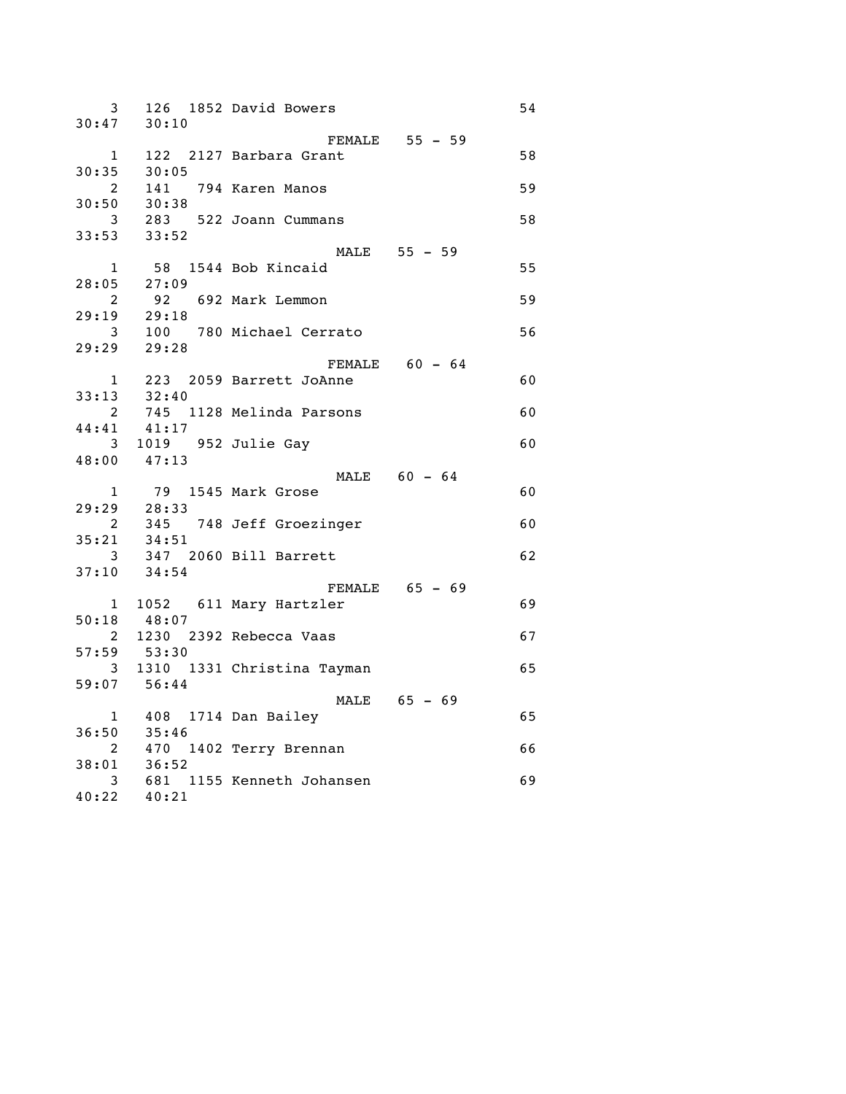| 3              |                       | 126 1852 David Bowers                    |                  | 54 |
|----------------|-----------------------|------------------------------------------|------------------|----|
| 30:47          | 30:10                 |                                          |                  |    |
| $\mathbf{1}$   |                       | 122 2127 Barbara Grant                   | FEMALE 55 - 59   | 58 |
| 30:35          | 30:05                 |                                          |                  |    |
| $2^{\circ}$    | 141                   | 794 Karen Manos                          |                  | 59 |
| 30:50          | 30:38                 |                                          |                  |    |
| 3 <sup>7</sup> |                       | 283 522 Joann Cummans                    |                  | 58 |
|                | $33:53$ $33:52$       |                                          |                  |    |
|                |                       |                                          | MALE 55 - 59     |    |
| $\mathbf{1}$   |                       | 58 1544 Bob Kincaid                      |                  | 55 |
|                | $28:05$ 27:09         |                                          |                  |    |
| $\mathbf{2}$   | 92                    | 692 Mark Lemmon                          |                  | 59 |
|                |                       |                                          |                  |    |
|                |                       | 29:19 29:18<br>3 100 780 Michael Cerrato |                  | 56 |
|                | $29:29$ $29:28$       |                                          |                  |    |
|                |                       |                                          | FEMALE $60 - 64$ |    |
| 1              |                       | 223 2059 Barrett JoAnne                  |                  | 60 |
|                | $33:13$ $32:40$       |                                          |                  |    |
| $2^{\circ}$    | 745                   | 1128 Melinda Parsons                     |                  | 60 |
| 44:41          | 41:17                 |                                          |                  |    |
|                | 3 1019 952 Julie Gay  |                                          |                  | 60 |
|                | 48:00 47:13           |                                          |                  |    |
|                |                       |                                          | $MALE$ 60 - 64   |    |
| $\mathbf{1}$   | 79 1545 Mark Grose    |                                          |                  | 60 |
|                | $29:29$ $28:33$       |                                          |                  |    |
| $2^{\circ}$    | 345                   | 748 Jeff Groezinger                      |                  | 60 |
| 35:21          | ر 34<br>34:51         |                                          |                  |    |
| 3 <sup>7</sup> |                       | 347 2060 Bill Barrett                    |                  | 62 |
|                | $37:10$ $34:54$       |                                          |                  |    |
|                |                       |                                          | $FEMALE$ 65 - 69 |    |
|                |                       | 1 1052 611 Mary Hartzler                 |                  | 69 |
|                | $50:18$ $48:07$       |                                          |                  |    |
|                |                       | 2 1230 2392 Rebecca Vaas<br>57:59 53:30  |                  | 67 |
|                |                       |                                          |                  |    |
|                | 59:07 56:44           | 3 1310 1331 Christina Tayman             |                  | 65 |
|                |                       |                                          | MALE 65 - 69     |    |
|                | 1 408 1714 Dan Bailey |                                          |                  | 65 |
|                | $36:50$ $35:46$       |                                          |                  |    |
| 2              |                       | 470 1402 Terry Brennan                   |                  | 66 |
|                | $38:01$ $36:52$       |                                          |                  |    |
|                |                       | 3 681 1155 Kenneth Johansen              |                  | 69 |
| 40:22          | 40:21                 |                                          |                  |    |
|                |                       |                                          |                  |    |